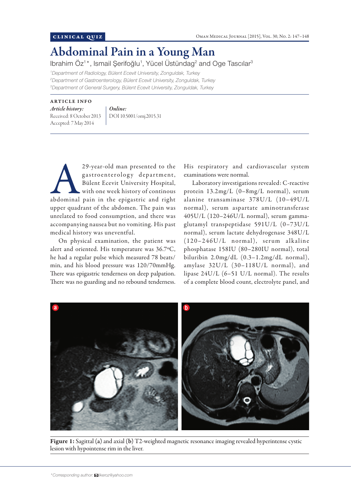## Abdominal Pain in a Young Man

Ibrahim Öz<sup>1\*</sup>, Ismail Şerifoğlu<sup>1</sup>, Yücel Üstündag<sup>2</sup> and Oge Tascılar<sup>3</sup>

*1 Department of Radiology, Bülent Ecevit University, Zonguldak, Turkey 2 Department of Gastroenterology, Bülent Ecevit University, Zonguldak, Turkey 3 Department of General Surgery, Bülent Ecevit University, Zonguldak, Turkey*

## ARTICLE INFO

*Article history:*  Received: 8 October 2013 Accepted: 7 May 2014

*Online:* DOI 10.5001/omj.2015.31

29-year-old man presented to the<br>
gastroenterology department,<br>
Bülent Ecevit University Hospital,<br>
with one week history of continous<br>
abdominal pain in the epigastric and right gastroenterology department, Bülent Ecevit University Hospital, with one week history of continous upper quadrant of the abdomen. The pain was unrelated to food consumption, and there was accompanying nausea but no vomiting. His past medical history was uneventful.

On physical examination, the patient was alert and oriented. His temperature was 36.7°C, he had a regular pulse which measured 78 beats/ min, and his blood pressure was 120/70mmHg. There was epigastric tenderness on deep palpation. There was no guarding and no rebound tenderness.

His respiratory and cardiovascular system examinations were normal.

Laboratory investigations revealed: C-reactive protein 13.2mg/L (0–8mg/L normal), serum alanine transaminase 378U/L (10–49U/L normal), serum aspartate aminotransferase 405U/L (120–246U/L normal), serum gammaglutamyl transpeptidase 591U/L (0–73U/L normal), serum lactate dehydrogenase 348U/L  $(120-246U/L$  normal), serum alkaline phosphatase 158IU (80–280IU normal), total biluribin 2.0mg/dL (0.3–1.2mg/dL normal), amylase 32U/L (30–118U/L normal), and lipase 24U/L (6–51 U/L normal). The results of a complete blood count, electrolyte panel, and



Figure 1: Sagittal (a) and axial (b) T2-weighted magnetic resonance imaging revealed hyperintense cystic lesion with hypointense rim in the liver.